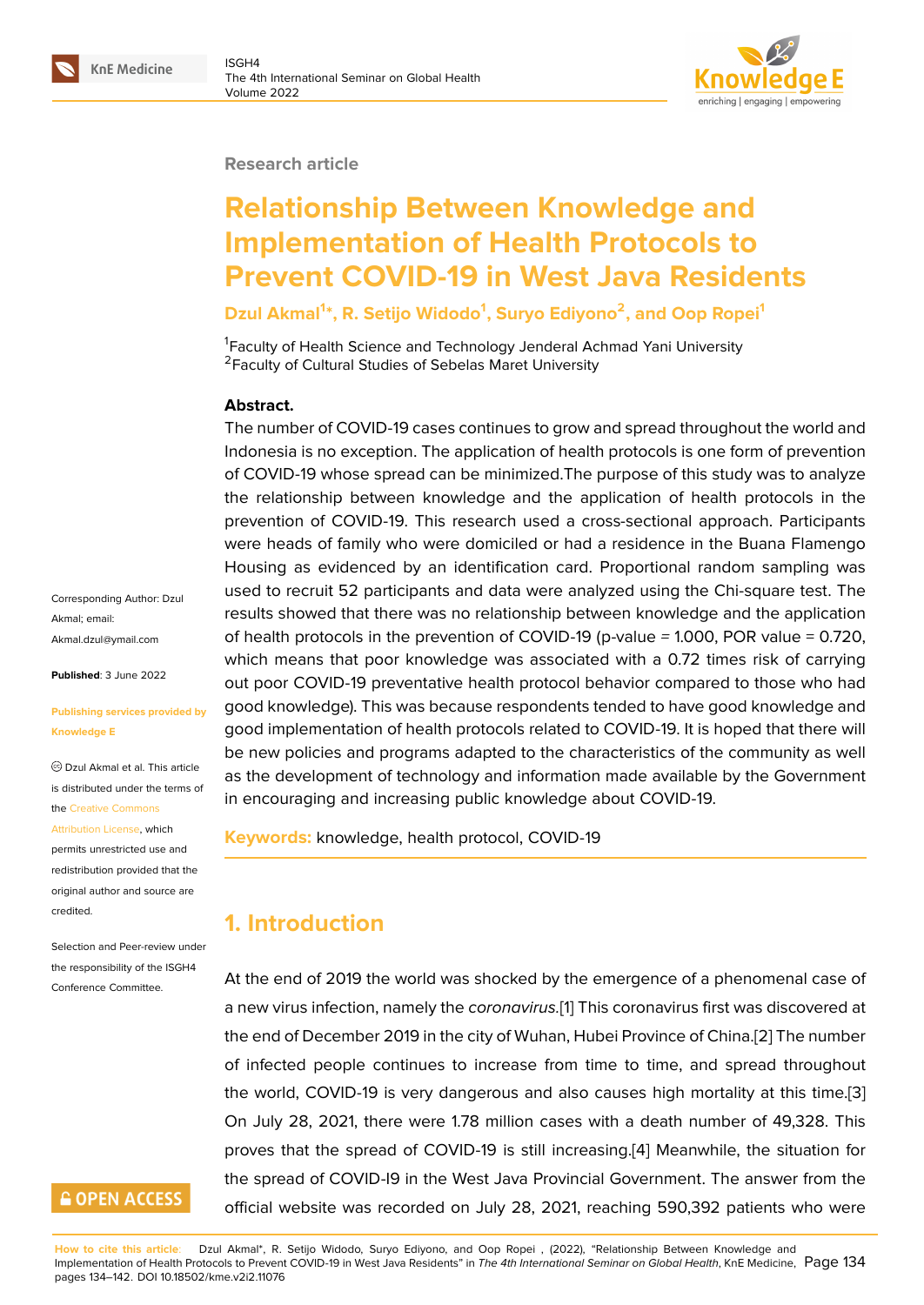#### **Research article**

# **Relationship Between Knowledge and Implementation of Health Protocols to Prevent COVID-19 in West Java Residents**

**Dzul Akmal<sup>1</sup> \*, R. Setijo Widodo<sup>1</sup> , Suryo Ediyono<sup>2</sup> , and Oop Ropei<sup>1</sup>**

<sup>1</sup> Faculty of Health Science and Technology Jenderal Achmad Yani University <sup>2</sup> Faculty of Cultural Studies of Sebelas Maret University

#### **Abstract.**

The number of COVID-19 cases continues to grow and spread throughout the world and Indonesia is no exception. The application of health protocols is one form of prevention of COVID-19 whose spread can be minimized.The purpose of this study was to analyze the relationship between knowledge and the application of health protocols in the prevention of COVID-19. This research used a cross-sectional approach. Participants were heads of family who were domiciled or had a residence in the Buana Flamengo Housing as evidenced by an identification card. Proportional random sampling was used to recruit 52 participants and data were analyzed using the Chi-square test. The results showed that there was no relationship between knowledge and the application of health protocols in the prevention of COVID-19 (p-value *=* 1.000, POR value = 0.720, which means that poor knowledge was associated with a 0.72 times risk of carrying out poor COVID-19 preventative health protocol behavior compared to those who had good knowledge). This was because respondents tended to have good knowledge and good implementation of health protocols related to COVID-19. It is hoped that there will be new policies and programs adapted to the characteristics of the community as well as the development of technology and information made available by the Government in encouraging and increasing public knowledge about COVID-19.

**Keywords:** knowledge, health protocol, COVID-19

# **1. Introduction**

At the end of 2019 the world was shocked by the emergence of a phenomenal case of a new virus infection, namely the *coronavirus.*[1] This coronavirus first was discovered at the end of December 2019 in the city of Wuhan, Hubei Province of China.[2] The number of infected people continues to increase from time to time, and spread throughout the world, COVID-19 is very dangerous and [al](#page-7-0)so causes high mortality at this time.[3] On July 28, 2021, there were 1.78 million cases with a death number [of](#page-7-1) 49,328. This proves that the spread of COVID-19 is still increasing.[4] Meanwhile, the situation for the spread of COVID-I9 in the West Java Provincial Government. The answer from t[he](#page-7-2) official website was recorded on July 28, 2021, reaching 590,392 patients who were

**How to cite this article**: Dzul Akmal\*, R. Setijo Widodo, Suryo Ediyono, and Oop Ropei , (2022), "Relationship Between Knowledge and Implementation of Health Protocols to Prevent COVID-19 in West Java Residents" in *The 4th International Seminar on Global Health*, KnE Medicine, Page 134 pages 134–142. DOI 10.18502/kme.v2i2.11076

Corresponding Author: Dzul Akmal; email: Akmal.dzul@ymail.com

**Published**: 3 June 2022

#### **[Publishing services pr](mailto:Akmal.dzul@ymail.com)ovided by Knowledge E**

Dzul Akmal et al. This article is distributed under the terms of the Creative Commons

Attribution License, which

permits unrestricted use and redistribution provided that the orig[inal author and sou](https://creativecommons.org/licenses/by/4.0/)rce are [credited.](https://creativecommons.org/licenses/by/4.0/)

Selection and Peer-review under the responsibility of the ISGH4 Conference Committee.

## **GOPEN ACCESS**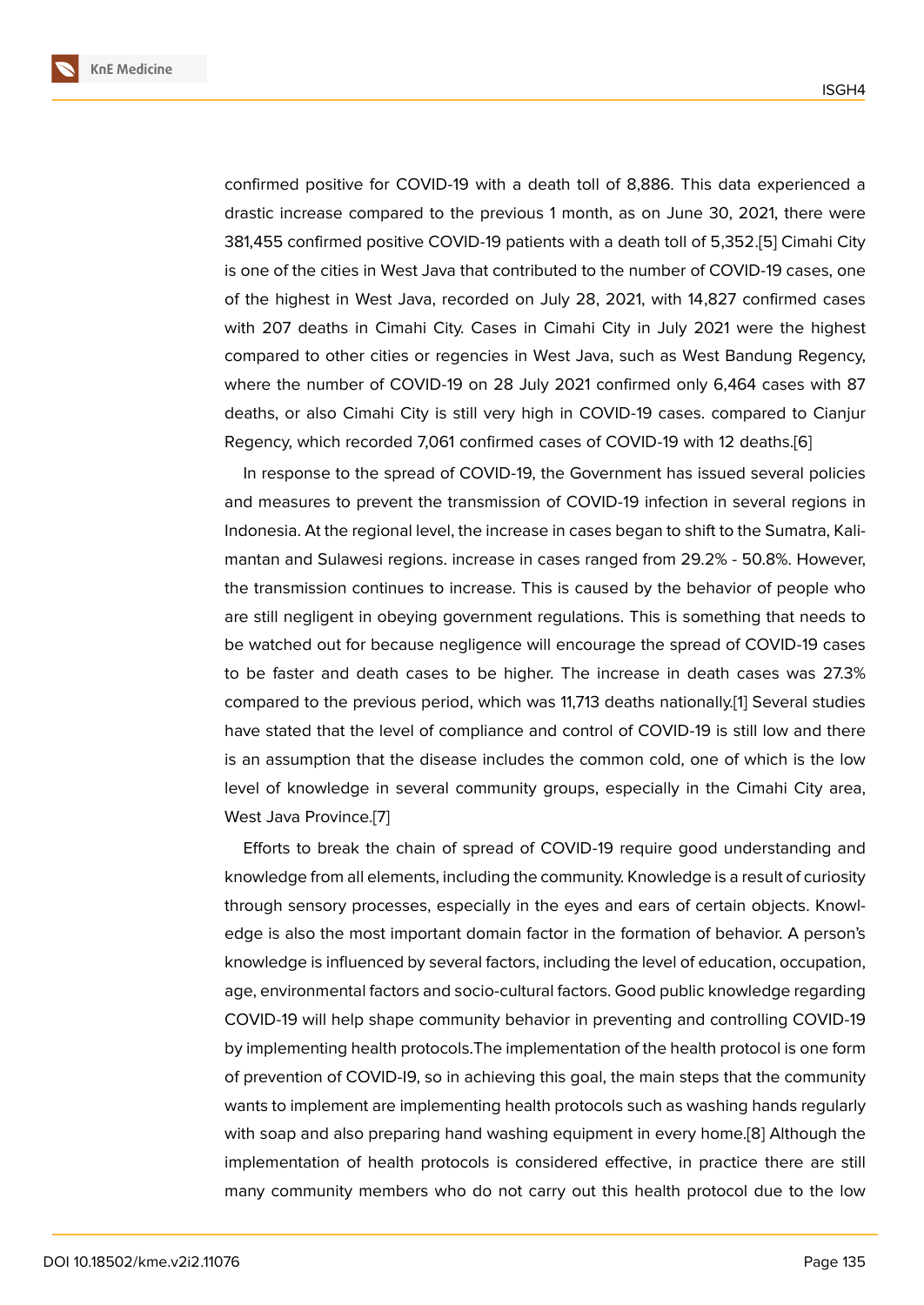confirmed positive for COVID-19 with a death toll of 8,886. This data experienced a drastic increase compared to the previous 1 month, as on June 30, 2021, there were 381,455 confirmed positive COVID-19 patients with a death toll of 5,352.[5] Cimahi City is one of the cities in West Java that contributed to the number of COVID-19 cases, one of the highest in West Java, recorded on July 28, 2021, with 14,827 confirmed cases with 207 deaths in Cimahi City. Cases in Cimahi City in July 2021 we[re](#page-7-3) the highest compared to other cities or regencies in West Java, such as West Bandung Regency, where the number of COVID-19 on 28 July 2021 confirmed only 6,464 cases with 87 deaths, or also Cimahi City is still very high in COVID-19 cases. compared to Cianjur Regency, which recorded 7,061 confirmed cases of COVID-19 with 12 deaths.[6]

In response to the spread of COVID-19, the Government has issued several policies and measures to prevent the transmission of COVID-19 infection in several regions in Indonesia. At the regional level, the increase in cases began to shift to the Sum[at](#page-7-4)ra, Kalimantan and Sulawesi regions. increase in cases ranged from 29.2% - 50.8%. However, the transmission continues to increase. This is caused by the behavior of people who are still negligent in obeying government regulations. This is something that needs to be watched out for because negligence will encourage the spread of COVID-19 cases to be faster and death cases to be higher. The increase in death cases was 27.3% compared to the previous period, which was 11,713 deaths nationally.[1] Several studies have stated that the level of compliance and control of COVID-19 is still low and there is an assumption that the disease includes the common cold, one of which is the low level of knowledge in several community groups, especially in the [C](#page-7-0)imahi City area, West Java Province.[7]

Efforts to break the chain of spread of COVID-19 require good understanding and knowledge from all elements, including the community. Knowledge is a result of curiosity through sensory pro[ce](#page-7-5)sses, especially in the eyes and ears of certain objects. Knowledge is also the most important domain factor in the formation of behavior. A person's knowledge is influenced by several factors, including the level of education, occupation, age, environmental factors and socio-cultural factors. Good public knowledge regarding COVID-19 will help shape community behavior in preventing and controlling COVID-19 by implementing health protocols.The implementation of the health protocol is one form of prevention of COVID-I9, so in achieving this goal, the main steps that the community wants to implement are implementing health protocols such as washing hands regularly with soap and also preparing hand washing equipment in every home.[8] Although the implementation of health protocols is considered effective, in practice there are still many community members who do not carry out this health protocol due to the low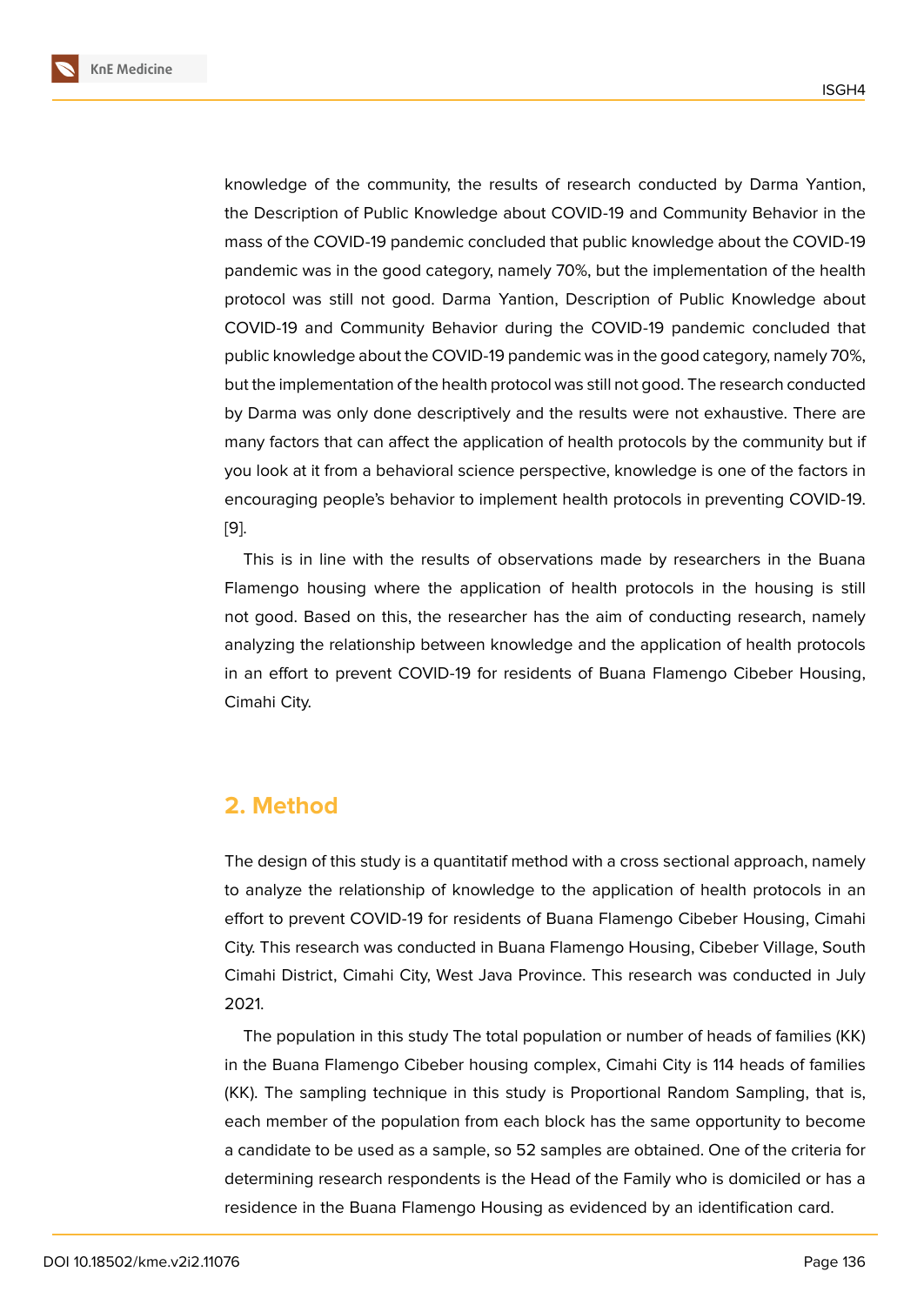knowledge of the community, the results of research conducted by Darma Yantion, the Description of Public Knowledge about COVID-19 and Community Behavior in the mass of the COVID-19 pandemic concluded that public knowledge about the COVID-19 pandemic was in the good category, namely 70%, but the implementation of the health protocol was still not good. Darma Yantion, Description of Public Knowledge about COVID-19 and Community Behavior during the COVID-19 pandemic concluded that public knowledge about the COVID-19 pandemic was in the good category, namely 70%, but the implementation of the health protocol was still not good. The research conducted by Darma was only done descriptively and the results were not exhaustive. There are many factors that can affect the application of health protocols by the community but if you look at it from a behavioral science perspective, knowledge is one of the factors in encouraging people's behavior to implement health protocols in preventing COVID-19. [9].

This is in line with the results of observations made by researchers in the Buana Flamengo housing where the application of health protocols in the housing is still [no](#page-8-0)t good. Based on this, the researcher has the aim of conducting research, namely analyzing the relationship between knowledge and the application of health protocols in an effort to prevent COVID-19 for residents of Buana Flamengo Cibeber Housing, Cimahi City.

## **2. Method**

The design of this study is a quantitatif method with a cross sectional approach, namely to analyze the relationship of knowledge to the application of health protocols in an effort to prevent COVID-19 for residents of Buana Flamengo Cibeber Housing, Cimahi City. This research was conducted in Buana Flamengo Housing, Cibeber Village, South Cimahi District, Cimahi City, West Java Province. This research was conducted in July 2021.

The population in this study The total population or number of heads of families (KK) in the Buana Flamengo Cibeber housing complex, Cimahi City is 114 heads of families (KK). The sampling technique in this study is Proportional Random Sampling, that is, each member of the population from each block has the same opportunity to become a candidate to be used as a sample, so 52 samples are obtained. One of the criteria for determining research respondents is the Head of the Family who is domiciled or has a residence in the Buana Flamengo Housing as evidenced by an identification card.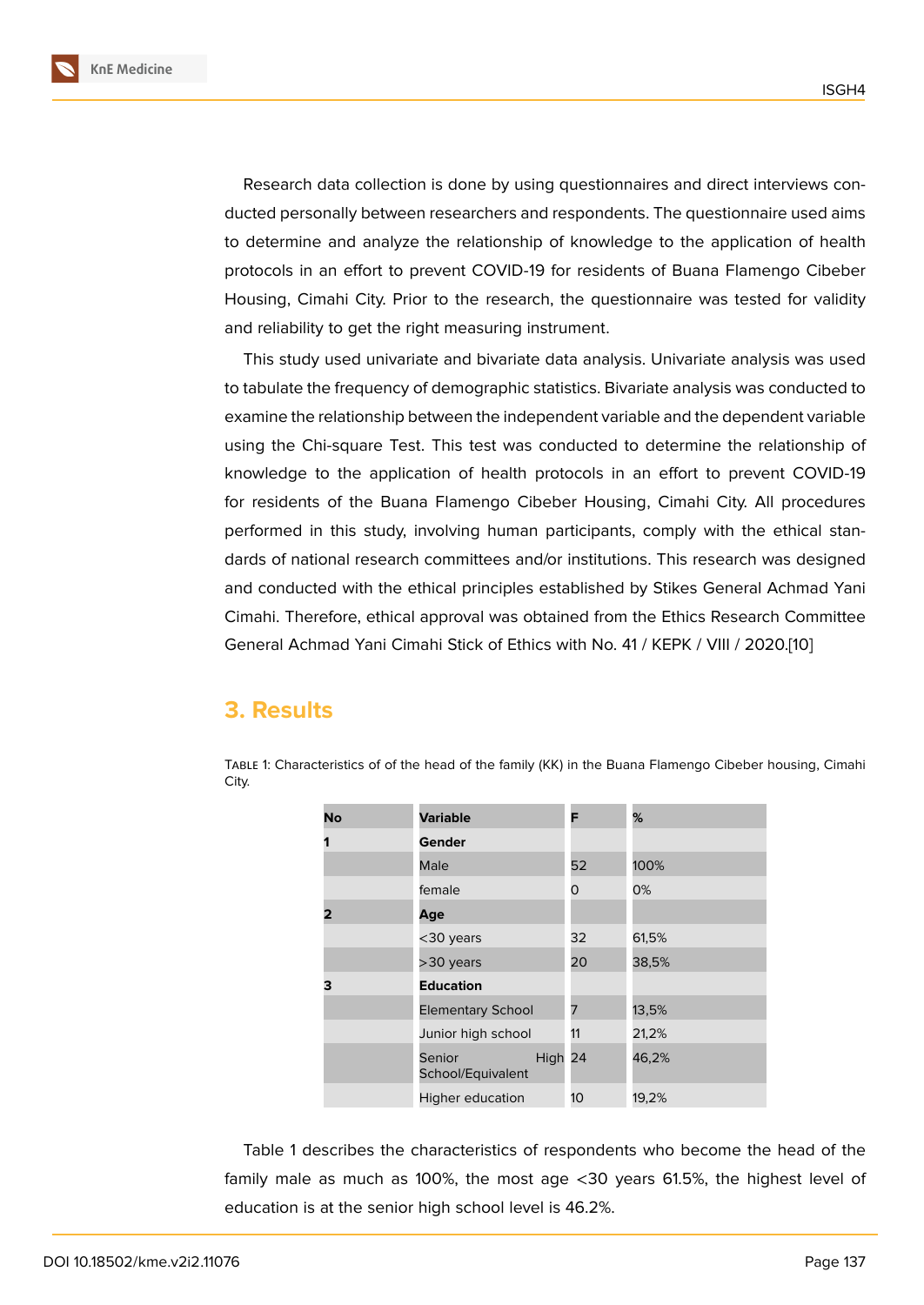Research data collection is done by using questionnaires and direct interviews conducted personally between researchers and respondents. The questionnaire used aims to determine and analyze the relationship of knowledge to the application of health protocols in an effort to prevent COVID-19 for residents of Buana Flamengo Cibeber Housing, Cimahi City. Prior to the research, the questionnaire was tested for validity and reliability to get the right measuring instrument.

This study used univariate and bivariate data analysis. Univariate analysis was used to tabulate the frequency of demographic statistics. Bivariate analysis was conducted to examine the relationship between the independent variable and the dependent variable using the Chi-square Test. This test was conducted to determine the relationship of knowledge to the application of health protocols in an effort to prevent COVID-19 for residents of the Buana Flamengo Cibeber Housing, Cimahi City. All procedures performed in this study, involving human participants, comply with the ethical standards of national research committees and/or institutions. This research was designed and conducted with the ethical principles established by Stikes General Achmad Yani Cimahi. Therefore, ethical approval was obtained from the Ethics Research Committee General Achmad Yani Cimahi Stick of Ethics with No. 41 / KEPK / VIII / 2020.[10]

#### **3. Results**

| No | <b>Variable</b>                        | F  | %     |
|----|----------------------------------------|----|-------|
| 1  | Gender                                 |    |       |
|    | Male                                   | 52 | 100%  |
|    | female                                 | 0  | 0%    |
| 2  | Age                                    |    |       |
|    | <30 years                              | 32 | 61,5% |
|    | >30 years                              | 20 | 38,5% |
| з  | <b>Education</b>                       |    |       |
|    | <b>Elementary School</b>               | 7  | 13,5% |
|    | Junior high school                     | 11 | 21,2% |
|    | High 24<br>Senior<br>School/Equivalent |    | 46,2% |
|    | Higher education                       | 10 | 19,2% |

Table 1: Characteristics of of the head of the family (KK) in the Buana Flamengo Cibeber housing, Cimahi City.

Table 1 describes the characteristics of respondents who become the head of the family male as much as 100%, the most age <30 years 61.5%, the highest level of education is at the senior high school level is 46.2%.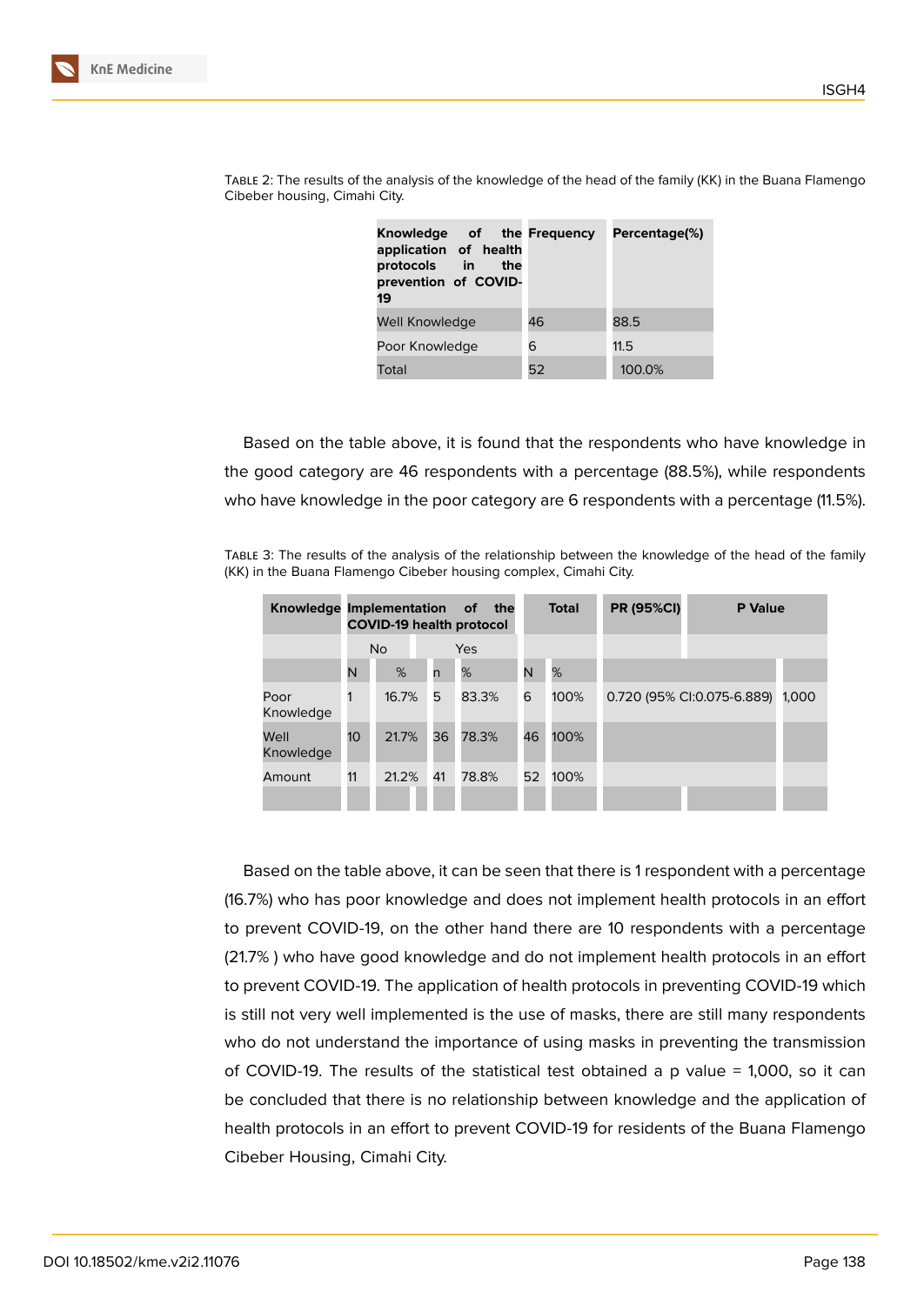| Knowledge of the Frequency<br>application of health<br>protocols in<br>the<br>prevention of COVID-<br>19 |    | Percentage(%) |  |  |
|----------------------------------------------------------------------------------------------------------|----|---------------|--|--|
| Well Knowledge                                                                                           | 46 | 88.5          |  |  |
| Poor Knowledge                                                                                           | 6  | 11.5          |  |  |
| Total                                                                                                    | 52 | 100.0%        |  |  |

Table 2: The results of the analysis of the knowledge of the head of the family (KK) in the Buana Flamengo Cibeber housing, Cimahi City.

Based on the table above, it is found that the respondents who have knowledge in the good category are 46 respondents with a percentage (88.5%), while respondents who have knowledge in the poor category are 6 respondents with a percentage (11.5%).

Table 3: The results of the analysis of the relationship between the knowledge of the head of the family (KK) in the Buana Flamengo Cibeber housing complex, Cimahi City.

|                   | Knowledge Implementation<br>of<br>the<br><b>COVID-19 health protocol</b> |       |     |       | <b>Total</b> | <b>PR (95%CI)</b> |  | <b>P</b> Value             |       |
|-------------------|--------------------------------------------------------------------------|-------|-----|-------|--------------|-------------------|--|----------------------------|-------|
|                   | N <sub>o</sub>                                                           |       | Yes |       |              |                   |  |                            |       |
|                   | N                                                                        | %     | n   | %     | N            | %                 |  |                            |       |
| Poor<br>Knowledge | 1                                                                        | 16.7% | 5   | 83.3% | 6            | 100%              |  | 0.720 (95% CI:0.075-6.889) | 1.000 |
| Well<br>Knowledge | 10 <sup>°</sup>                                                          | 21.7% | 36  | 78.3% | 46           | 100%              |  |                            |       |
| Amount            | 11                                                                       | 21.2% | 41  | 78.8% | 52           | 100%              |  |                            |       |

Based on the table above, it can be seen that there is 1 respondent with a percentage (16.7%) who has poor knowledge and does not implement health protocols in an effort to prevent COVID-19, on the other hand there are 10 respondents with a percentage (21.7% ) who have good knowledge and do not implement health protocols in an effort to prevent COVID-19. The application of health protocols in preventing COVID-19 which is still not very well implemented is the use of masks, there are still many respondents who do not understand the importance of using masks in preventing the transmission of COVID-19. The results of the statistical test obtained a p value = 1,000, so it can be concluded that there is no relationship between knowledge and the application of health protocols in an effort to prevent COVID-19 for residents of the Buana Flamengo Cibeber Housing, Cimahi City.

ISGH4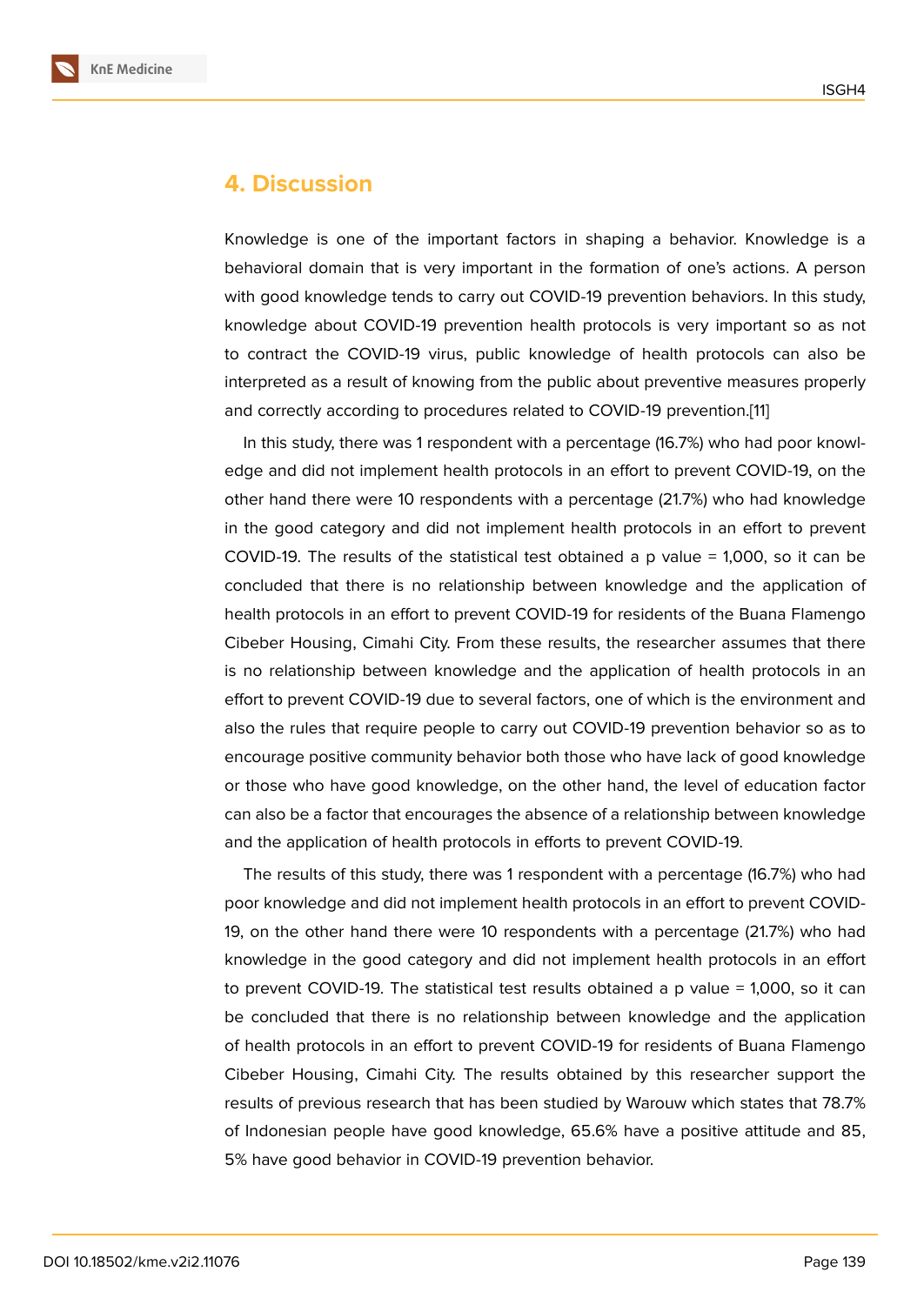#### **4. Discussion**

Knowledge is one of the important factors in shaping a behavior. Knowledge is a behavioral domain that is very important in the formation of one's actions. A person with good knowledge tends to carry out COVID-19 prevention behaviors. In this study, knowledge about COVID-19 prevention health protocols is very important so as not to contract the COVID-19 virus, public knowledge of health protocols can also be interpreted as a result of knowing from the public about preventive measures properly and correctly according to procedures related to COVID-19 prevention.[11]

In this study, there was 1 respondent with a percentage (16.7%) who had poor knowledge and did not implement health protocols in an effort to prevent COVID-19, on the other hand there were 10 respondents with a percentage (21.7%) who [ha](#page-8-1)d knowledge in the good category and did not implement health protocols in an effort to prevent COVID-19. The results of the statistical test obtained a p value  $= 1,000$ , so it can be concluded that there is no relationship between knowledge and the application of health protocols in an effort to prevent COVID-19 for residents of the Buana Flamengo Cibeber Housing, Cimahi City. From these results, the researcher assumes that there is no relationship between knowledge and the application of health protocols in an effort to prevent COVID-19 due to several factors, one of which is the environment and also the rules that require people to carry out COVID-19 prevention behavior so as to encourage positive community behavior both those who have lack of good knowledge or those who have good knowledge, on the other hand, the level of education factor can also be a factor that encourages the absence of a relationship between knowledge and the application of health protocols in efforts to prevent COVID-19.

The results of this study, there was 1 respondent with a percentage (16.7%) who had poor knowledge and did not implement health protocols in an effort to prevent COVID-19, on the other hand there were 10 respondents with a percentage (21.7%) who had knowledge in the good category and did not implement health protocols in an effort to prevent COVID-19. The statistical test results obtained a p value = 1,000, so it can be concluded that there is no relationship between knowledge and the application of health protocols in an effort to prevent COVID-19 for residents of Buana Flamengo Cibeber Housing, Cimahi City. The results obtained by this researcher support the results of previous research that has been studied by Warouw which states that 78.7% of Indonesian people have good knowledge, 65.6% have a positive attitude and 85, 5% have good behavior in COVID-19 prevention behavior.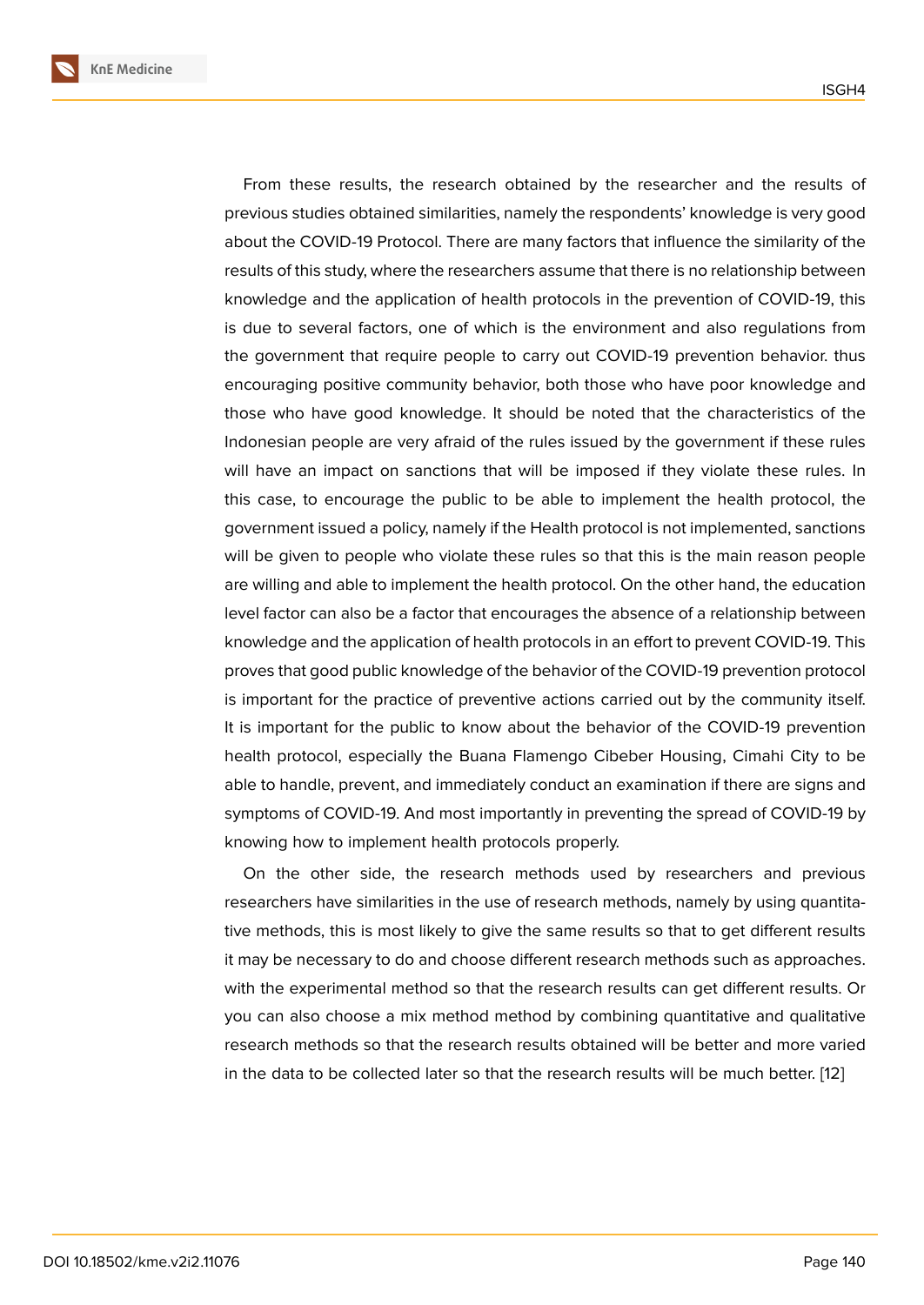From these results, the research obtained by the researcher and the results of previous studies obtained similarities, namely the respondents' knowledge is very good about the COVID-19 Protocol. There are many factors that influence the similarity of the results of this study, where the researchers assume that there is no relationship between knowledge and the application of health protocols in the prevention of COVID-19, this is due to several factors, one of which is the environment and also regulations from the government that require people to carry out COVID-19 prevention behavior. thus encouraging positive community behavior, both those who have poor knowledge and those who have good knowledge. It should be noted that the characteristics of the Indonesian people are very afraid of the rules issued by the government if these rules will have an impact on sanctions that will be imposed if they violate these rules. In this case, to encourage the public to be able to implement the health protocol, the government issued a policy, namely if the Health protocol is not implemented, sanctions will be given to people who violate these rules so that this is the main reason people are willing and able to implement the health protocol. On the other hand, the education level factor can also be a factor that encourages the absence of a relationship between knowledge and the application of health protocols in an effort to prevent COVID-19. This proves that good public knowledge of the behavior of the COVID-19 prevention protocol is important for the practice of preventive actions carried out by the community itself. It is important for the public to know about the behavior of the COVID-19 prevention health protocol, especially the Buana Flamengo Cibeber Housing, Cimahi City to be able to handle, prevent, and immediately conduct an examination if there are signs and symptoms of COVID-19. And most importantly in preventing the spread of COVID-19 by knowing how to implement health protocols properly.

On the other side, the research methods used by researchers and previous researchers have similarities in the use of research methods, namely by using quantitative methods, this is most likely to give the same results so that to get different results it may be necessary to do and choose different research methods such as approaches. with the experimental method so that the research results can get different results. Or you can also choose a mix method method by combining quantitative and qualitative research methods so that the research results obtained will be better and more varied in the data to be collected later so that the research results will be much better. [12]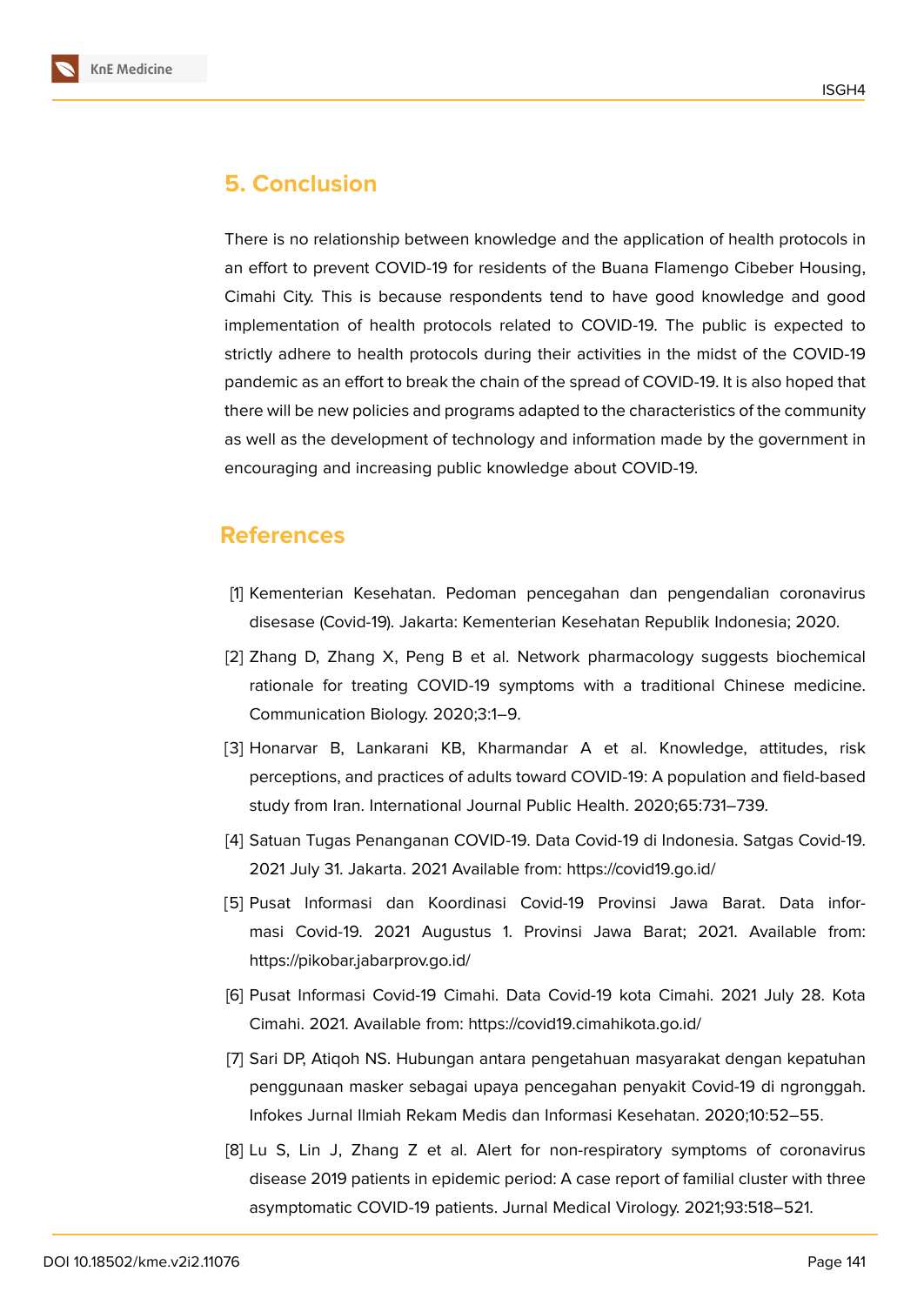

# **5. Conclusion**

There is no relationship between knowledge and the application of health protocols in an effort to prevent COVID-19 for residents of the Buana Flamengo Cibeber Housing, Cimahi City. This is because respondents tend to have good knowledge and good implementation of health protocols related to COVID-19. The public is expected to strictly adhere to health protocols during their activities in the midst of the COVID-19 pandemic as an effort to break the chain of the spread of COVID-19. It is also hoped that there will be new policies and programs adapted to the characteristics of the community as well as the development of technology and information made by the government in encouraging and increasing public knowledge about COVID-19.

## **References**

- <span id="page-7-0"></span>[1] Kementerian Kesehatan. Pedoman pencegahan dan pengendalian coronavirus disesase (Covid-19). Jakarta: Kementerian Kesehatan Republik Indonesia; 2020.
- <span id="page-7-1"></span>[2] Zhang D, Zhang X, Peng B et al. Network pharmacology suggests biochemical rationale for treating COVID-19 symptoms with a traditional Chinese medicine. Communication Biology. 2020;3:1–9.
- <span id="page-7-2"></span>[3] Honarvar B, Lankarani KB, Kharmandar A et al. Knowledge, attitudes, risk perceptions, and practices of adults toward COVID-19: A population and field-based study from Iran. International Journal Public Health. 2020;65:731–739.
- [4] Satuan Tugas Penanganan COVID-19. Data Covid-19 di Indonesia. Satgas Covid-19. 2021 July 31. Jakarta. 2021 Available from: https://covid19.go.id/
- <span id="page-7-3"></span>[5] Pusat Informasi dan Koordinasi Covid-19 Provinsi Jawa Barat. Data informasi Covid-19. 2021 Augustus 1. Provinsi Jawa Barat; 2021. Available from: https://pikobar.jabarprov.go.id/
- <span id="page-7-4"></span>[6] Pusat Informasi Covid-19 Cimahi. Data Covid-19 kota Cimahi. 2021 July 28. Kota Cimahi. 2021. Available from: https://covid19.cimahikota.go.id/
- <span id="page-7-5"></span>[7] Sari DP, Atiqoh NS. Hubungan antara pengetahuan masyarakat dengan kepatuhan penggunaan masker sebagai upaya pencegahan penyakit Covid-19 di ngronggah. Infokes Jurnal Ilmiah Rekam Medis dan Informasi Kesehatan. 2020;10:52–55.
- [8] Lu S, Lin J, Zhang Z et al. Alert for non-respiratory symptoms of coronavirus disease 2019 patients in epidemic period: A case report of familial cluster with three asymptomatic COVID-19 patients. Jurnal Medical Virology. 2021;93:518–521.